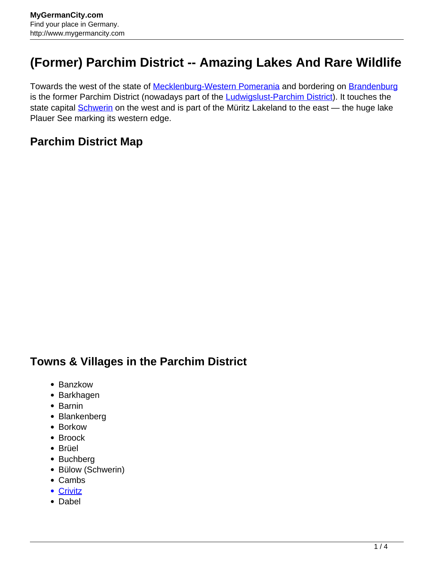## **(Former) Parchim District -- Amazing Lakes And Rare Wildlife**

Towards the west of the state of [Mecklenburg-Western Pomerania](http://www.mygermancity.com/mecklenburg-western-pomerania) and bordering on [Brandenburg](http://www.mygermancity.com/brandenburg) is the former Parchim District (nowadays part of the **[Ludwigslust-Parchim District](http://www.mygermancity.com/ludwigslust-parchim-district)**). It touches the state capital **[Schwerin](http://www.mygermancity.com/schwerin)** on the west and is part of the Müritz Lakeland to the east — the huge lake Plauer See marking its western edge.

## **Parchim District Map**

## **Towns & Villages in the Parchim District**

- Banzkow
- Barkhagen
- Barnin
- Blankenberg
- Borkow
- Broock
- Brüel
- Buchberg
- Bülow (Schwerin)
- Cambs
- [Crivitz](http://www.mygermancity.com/crivitz)
- Dabel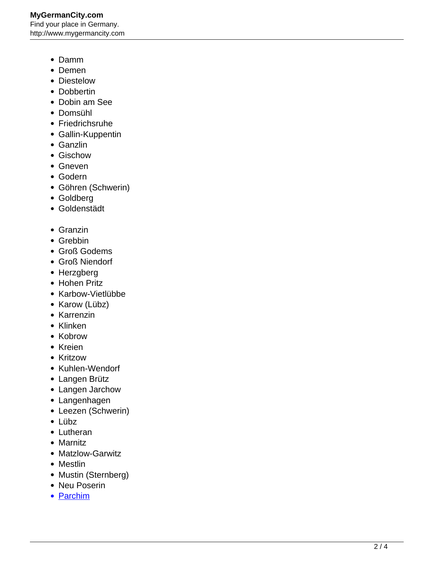- Damm
- Demen
- Diestelow
- Dobbertin
- Dobin am See
- Domsühl
- Friedrichsruhe
- Gallin-Kuppentin
- Ganzlin
- Gischow
- Gneven
- Godern
- Göhren (Schwerin)
- Goldberg
- Goldenstädt
- Granzin
- Grebbin
- Groß Godems
- Groß Niendorf
- Herzgberg
- Hohen Pritz
- Karbow-Vietlübbe
- Karow (Lübz)
- Karrenzin
- Klinken
- Kobrow
- Kreien
- Kritzow
- Kuhlen-Wendorf
- Langen Brütz
- Langen Jarchow
- Langenhagen
- Leezen (Schwerin)
- Lübz
- Lutheran
- Marnitz
- Matzlow-Garwitz
- Mestlin
- Mustin (Sternberg)
- Neu Poserin
- [Parchim](http://www.mygermancity.com/parchim)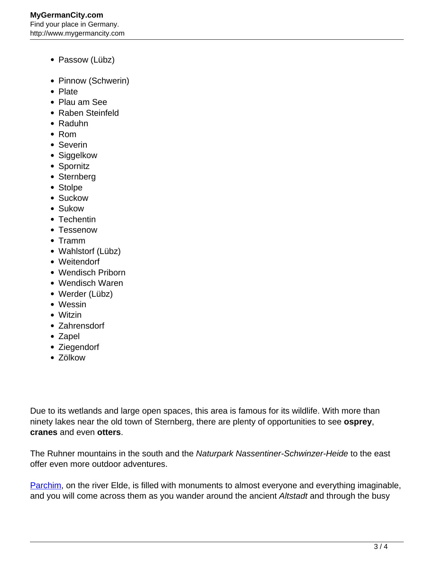- Passow (Lübz)
- Pinnow (Schwerin)
- Plate
- Plau am See
- Raben Steinfeld
- Raduhn
- Rom
- Severin
- Siggelkow
- Spornitz
- Sternberg
- Stolpe
- Suckow
- Sukow
- Techentin
- Tessenow
- Tramm
- Wahlstorf (Lübz)
- Weitendorf
- Wendisch Priborn
- Wendisch Waren
- Werder (Lübz)
- Wessin
- Witzin
- Zahrensdorf
- Zapel
- Ziegendorf
- Zölkow

Due to its wetlands and large open spaces, this area is famous for its wildlife. With more than ninety lakes near the old town of Sternberg, there are plenty of opportunities to see **osprey**, **cranes** and even **otters**.

The Ruhner mountains in the south and the Naturpark Nassentiner-Schwinzer-Heide to the east offer even more outdoor adventures.

[Parchim,](http://www.mygermancity.com/parchim) on the river Elde, is filled with monuments to almost everyone and everything imaginable, and you will come across them as you wander around the ancient Altstadt and through the busy